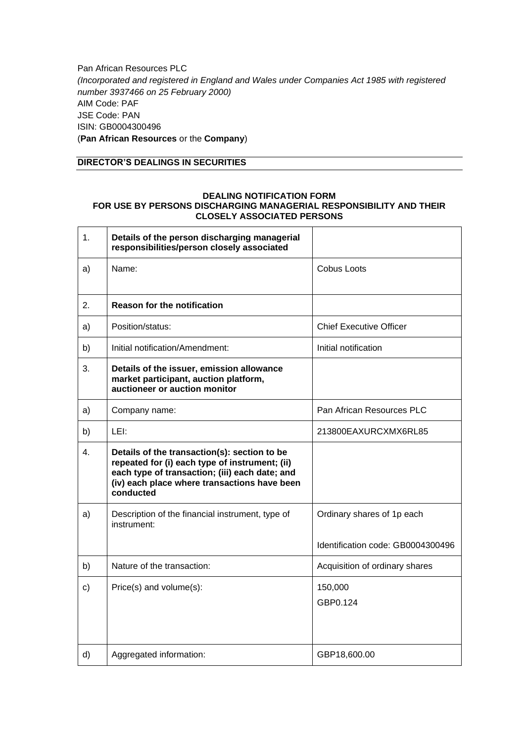Pan African Resources PLC *(Incorporated and registered in England and Wales under Companies Act 1985 with registered number 3937466 on 25 February 2000)* AIM Code: PAF JSE Code: PAN ISIN: GB0004300496 (**Pan African Resources** or the **Company**)

## **DIRECTOR'S DEALINGS IN SECURITIES**

## **DEALING NOTIFICATION FORM FOR USE BY PERSONS DISCHARGING MANAGERIAL RESPONSIBILITY AND THEIR CLOSELY ASSOCIATED PERSONS**

| 1.           | Details of the person discharging managerial<br>responsibilities/person closely associated                                                                                                                    |                                   |
|--------------|---------------------------------------------------------------------------------------------------------------------------------------------------------------------------------------------------------------|-----------------------------------|
| a)           | Name:                                                                                                                                                                                                         | Cobus Loots                       |
| 2.           | <b>Reason for the notification</b>                                                                                                                                                                            |                                   |
| a)           | Position/status:                                                                                                                                                                                              | <b>Chief Executive Officer</b>    |
| b)           | Initial notification/Amendment:                                                                                                                                                                               | Initial notification              |
| 3.           | Details of the issuer, emission allowance<br>market participant, auction platform,<br>auctioneer or auction monitor                                                                                           |                                   |
| a)           | Company name:                                                                                                                                                                                                 | Pan African Resources PLC         |
| b)           | LEI:                                                                                                                                                                                                          | 213800EAXURCXMX6RL85              |
| 4.           | Details of the transaction(s): section to be<br>repeated for (i) each type of instrument; (ii)<br>each type of transaction; (iii) each date; and<br>(iv) each place where transactions have been<br>conducted |                                   |
| a)           | Description of the financial instrument, type of<br>instrument:                                                                                                                                               | Ordinary shares of 1p each        |
|              |                                                                                                                                                                                                               | Identification code: GB0004300496 |
| b)           | Nature of the transaction:                                                                                                                                                                                    | Acquisition of ordinary shares    |
| $\mathbf{C}$ | Price(s) and volume(s):                                                                                                                                                                                       | 150,000<br>GBP0.124               |
| d)           | Aggregated information:                                                                                                                                                                                       | GBP18,600.00                      |